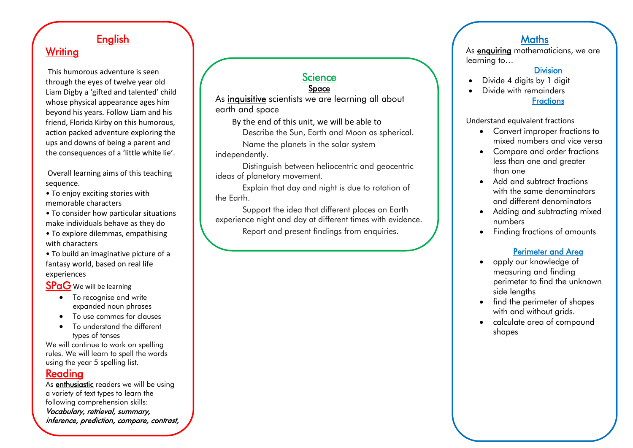# **English**

## **Writing**

This humorous adventure is seen through the eyes of twelve year old Liam Digby a 'gifted and talented' child whose physical appearance ages him beyond his years. Follow Liam and his friend, Florida Kirby on this humorous, action packed adventure exploring the ups and downs of being a parent and the consequences of a 'little white lie'.

Overall learning aims of this teaching sequence.

- To enjoy exciting stories with memorable characters
- To consider how particular situations make individuals behave as they do
- To explore dilemmas, empathising with characters
- To build an imaginative picture of a fantasy world, based on real life experiences

**SPaG** We will be learning

- To recognise and write expanded noun phrases
- To use commas for clauses
- To understand the different types of tenses

We will continue to work on spelling rules. We will learn to spell the words using the year 5 spelling list.

#### Reading

As **enthusiastic** readers we will be using a variety of text types to learn the following comprehension skills: Vocabulary, retrieval, summary, inference, prediction, compare, contrast,

comment, question and author choice.

#### **Science** Space

As inquisitive scientists we are learning all about earth and space

By the end of this unit, we will be able to

Describe the Sun, Earth and Moon as spherical.

Name the planets in the solar system independently.

Distinguish between heliocentric and geocentric ideas of planetary movement.

Explain that day and night is due to rotation of the Earth.

Support the idea that different places on Earth experience night and day at different times with evidence.

Report and present findings from enquiries.

Explain how the Moon moves relative to the Earth

## **Maths**

As **enquiring** mathematicians, we are learning to…

#### **Division**

- Divide 4 digits by 1 digit
	- Divide with remainders **Fractions**

#### Understand equivalent fractions

- Convert improper fractions to mixed numbers and vice versa
- Compare and order fractions less than one and greater than one
- Add and subtract fractions with the same denominators and different denominators
- Adding and subtracting mixed numbers
- Finding fractions of amounts

## Perimeter and Area

- apply our knowledge of measuring and finding perimeter to find the unknown side lengths
- find the perimeter of shapes with and without grids.
- calculate area of compound shapes